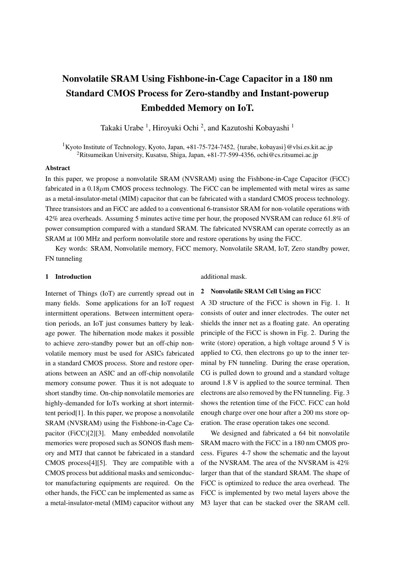# Nonvolatile SRAM Using Fishbone-in-Cage Capacitor in a 180 nm Standard CMOS Process for Zero-standby and Instant-powerup Embedded Memory on IoT.

Takaki Urabe<sup>1</sup>, Hiroyuki Ochi<sup>2</sup>, and Kazutoshi Kobayashi<sup>1</sup>

<sup>1</sup>Kyoto Institute of Technology, Kyoto, Japan, +81-75-724-7452, *{*turabe, kobayasi*}*@vlsi.es.kit.ac.jp <sup>2</sup>Ritsumeikan University, Kusatsu, Shiga, Japan,  $+81-77-599-4356$ , ochi@cs.ritsumei.ac.jp

#### Abstract

In this paper, we propose a nonvolatile SRAM (NVSRAM) using the Fishbone-in-Cage Capacitor (FiCC) fabricated in a 0.18*µ*m CMOS process technology. The FiCC can be implemented with metal wires as same as a metal-insulator-metal (MIM) capacitor that can be fabricated with a standard CMOS process technology. Three transistors and an FiCC are added to a conventional 6-transistor SRAM for non-volatile operations with 42% area overheads. Assuming 5 minutes active time per hour, the proposed NVSRAM can reduce 61.8% of power consumption compared with a standard SRAM. The fabricated NVSRAM can operate correctly as an SRAM at 100 MHz and perform nonvolatile store and restore operations by using the FiCC.

Key words: SRAM, Nonvolatile memory, FiCC memory, Nonvolatile SRAM, IoT, Zero standby power, FN tunneling

## 1 Introduction

Internet of Things (IoT) are currently spread out in many fields. Some applications for an IoT request intermittent operations. Between intermittent operation periods, an IoT just consumes battery by leakage power. The hibernation mode makes it possible to achieve zero-standby power but an off-chip nonvolatile memory must be used for ASICs fabricated in a standard CMOS process. Store and restore operations between an ASIC and an off-chip nonvolatile memory consume power. Thus it is not adequate to short standby time. On-chip nonvolatile memories are highly-demanded for IoTs working at short intermittent period[1]. In this paper, we propose a nonvolatile SRAM (NVSRAM) using the Fishbone-in-Cage Capacitor (FiCC)[2][3]. Many embedded nonvolatile memories were proposed such as SONOS flash memory and MTJ that cannot be fabricated in a standard CMOS process[4][5]. They are compatible with a CMOS process but additional masks and semiconductor manufacturing equipments are required. On the other hands, the FiCC can be implemented as same as a metal-insulator-metal (MIM) capacitor without any additional mask.

#### 2 Nonvolatile SRAM Cell Using an FiCC

A 3D structure of the FiCC is shown in Fig. 1. It consists of outer and inner electrodes. The outer net shields the inner net as a floating gate. An operating principle of the FiCC is shown in Fig. 2. During the write (store) operation, a high voltage around 5 V is applied to CG, then electrons go up to the inner terminal by FN tunneling. During the erase operation, CG is pulled down to ground and a standard voltage around 1.8 V is applied to the source terminal. Then electrons are also removed by the FN tunneling. Fig. 3 shows the retention time of the FiCC. FiCC can hold enough charge over one hour after a 200 ms store operation. The erase operation takes one second.

We designed and fabricated a 64 bit nonvolatile SRAM macro with the FiCC in a 180 nm CMOS process. Figures 4-7 show the schematic and the layout of the NVSRAM. The area of the NVSRAM is 42% larger than that of the standard SRAM. The shape of FiCC is optimized to reduce the area overhead. The FiCC is implemented by two metal layers above the M3 layer that can be stacked over the SRAM cell.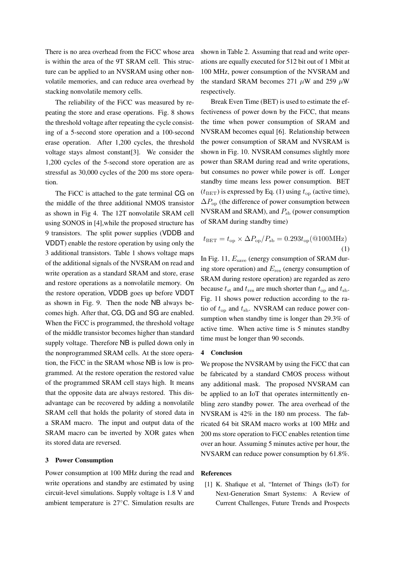There is no area overhead from the FiCC whose area is within the area of the 9T SRAM cell. This structure can be applied to an NVSRAM using other nonvolatile memories, and can reduce area overhead by stacking nonvolatile memory cells.

The reliability of the FiCC was measured by repeating the store and erase operations. Fig. 8 shows the threshold voltage after repeating the cycle consisting of a 5-second store operation and a 100-second erase operation. After 1,200 cycles, the threshold voltage stays almost constant[3]. We consider the 1,200 cycles of the 5-second store operation are as stressful as 30,000 cycles of the 200 ms store operation.

The FiCC is attached to the gate terminal CG on the middle of the three additional NMOS transistor as shown in Fig 4. The 12T nonvolatile SRAM cell using SONOS in [4],while the proposed structure has 9 transistors. The split power supplies (VDDB and VDDT) enable the restore operation by using only the 3 additional transistors. Table 1 shows voltage maps of the additional signals of the NVSRAM on read and write operation as a standard SRAM and store, erase and restore operations as a nonvolatile memory. On the restore operation, VDDB goes up before VDDT as shown in Fig. 9. Then the node NB always becomes high. After that, CG, DG and SG are enabled. When the FiCC is programmed, the threshold voltage of the middle transistor becomes higher than standard supply voltage. Therefore NB is pulled down only in the nonprogrammed SRAM cells. At the store operation, the FiCC in the SRAM whose NB is low is programmed. At the restore operation the restored value of the programmed SRAM cell stays high. It means that the opposite data are always restored. This disadvantage can be recovered by adding a nonvolatile SRAM cell that holds the polarity of stored data in a SRAM macro. The input and output data of the SRAM macro can be inverted by XOR gates when its stored data are reversed.

#### 3 Power Consumption

Power consumption at 100 MHz during the read and write operations and standby are estimated by using circuit-level simulations. Supply voltage is 1.8 V and ambient temperature is 27*◦*C. Simulation results are

shown in Table 2. Assuming that read and write operations are equally executed for 512 bit out of 1 Mbit at 100 MHz, power consumption of the NVSRAM and the standard SRAM becomes 271  $\mu$ W and 259  $\mu$ W respectively.

Break Even Time (BET) is used to estimate the effectiveness of power down by the FiCC, that means the time when power consumption of SRAM and NVSRAM becomes equal [6]. Relationship between the power consumption of SRAM and NVSRAM is shown in Fig. 10. NVSRAM consumes slightly more power than SRAM during read and write operations, but consumes no power while power is off. Longer standby time means less power consumption. BET  $(t_{\text{BET}})$  is expressed by Eq. (1) using  $t_{\text{op}}$  (active time), ∆*P*op (the difference of power consumption between NVSRAM and SRAM), and  $P_{sb}$  (power consumption of SRAM during standby time)

$$
t_{\text{BET}} = t_{\text{op}} \times \Delta P_{\text{op}} / P_{\text{sb}} = 0.293 t_{\text{op}} (\text{@} 100 \text{MHz})
$$
\n(1)

In Fig. 11,  $E_{\text{save}}$  (energy consumption of SRAM during store operation) and *E*res (energy consumption of SRAM during restore operation) are regarded as zero because  $t_{\rm st}$  and  $t_{\rm res}$  are much shorter than  $t_{\rm op}$  and  $t_{\rm sb}$ . Fig. 11 shows power reduction according to the ratio of  $t_{op}$  and  $t_{sb}$ . NVSRAM can reduce power consumption when standby time is longer than 29.3% of active time. When active time is 5 minutes standby time must be longer than 90 seconds.

#### 4 Conclusion

We propose the NVSRAM by using the FiCC that can be fabricated by a standard CMOS process without any additional mask. The proposed NVSRAM can be applied to an IoT that operates intermittently enbling zero standby power. The area overhead of the NVSRAM is 42% in the 180 nm process. The fabricated 64 bit SRAM macro works at 100 MHz and 200 ms store operation to FiCC enables retention time over an hour. Assuming 5 minutes active per hour, the NVSARM can reduce power consumption by 61.8%.

### References

[1] K. Shafique et al, "Internet of Things (IoT) for Next-Generation Smart Systems: A Review of Current Challenges, Future Trends and Prospects